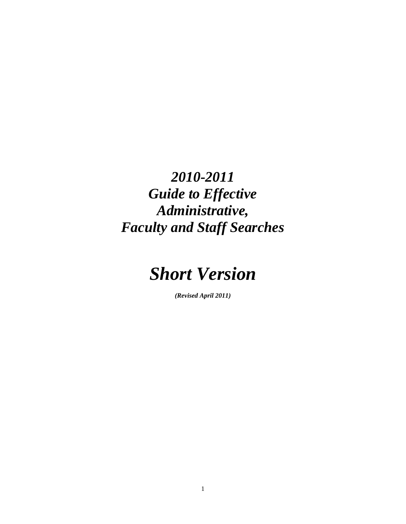*2010-2011 Guide to Effective Administrative, Faculty and Staff Searches* 



*(Revised April 2011)*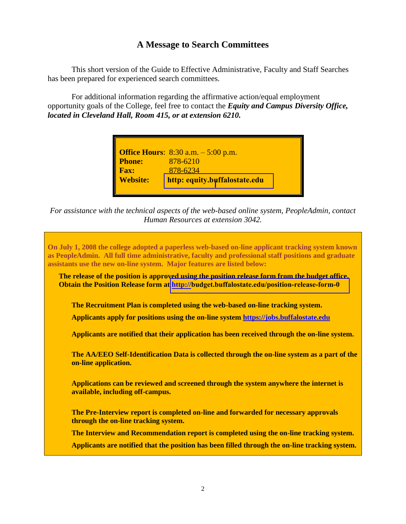## **A Message to Search Committees**

This short version of the Guide to Effective Administrative, Faculty and Staff Searches has been prepared for experienced search committees.

For additional information regarding the affirmative action/equal employment opportunity goals of the College, feel free to contact the *Equity and Campus Diversity Office, located in Cleveland Hall, Room 415, or at extension 6210.* 

| <b>Office Hours:</b> 8:30 a.m. – 5:00 p.m.<br><b>Phone:</b> 878-6210<br><b>Fax:</b> 878-6234<br><b>Website:</b> http: equity.buffalost |
|----------------------------------------------------------------------------------------------------------------------------------------|
|                                                                                                                                        |
|                                                                                                                                        |
|                                                                                                                                        |
| http: equity.buffalostate.edu                                                                                                          |
|                                                                                                                                        |

*For assistance with the technical aspects of the web-based online system, PeopleAdmin, contact Human Resources at extension 3042.* 

**On July 1, 2008 the college adopted a paperless web-based on-line applicant tracking system known as PeopleAdmin. All full time administrative, faculty and professional staff positions and graduate assistants use the new on-line system. Major features are listed below: The release of the position is approved using the position release form from the budget office. Obtain the Position Release form at http://[budget.buffalostate.edu/position-release-form-0](http://budget.buffalostate.edu/position-release-form-0) The Recruitment Plan is completed using the web-based on-line tracking system. Applicants apply for positions using the on-line system [https://jobs.buffalostate.edu](https://jobs.buffalostate.edu/) Applicants are notified that their application has been received through the on-line system. The AA/EEO Self-Identification Data is collected through the on-line system as a part of the on-line application. Applications can be reviewed and screened through the system anywhere the internet is available, including off-campus. The Pre-Interview report is completed on-line and forwarded for necessary approvals through the on-line tracking system. The Interview and Recommendation report is completed using the on-line tracking system. Applicants are notified that the position has been filled through the on-line tracking system.**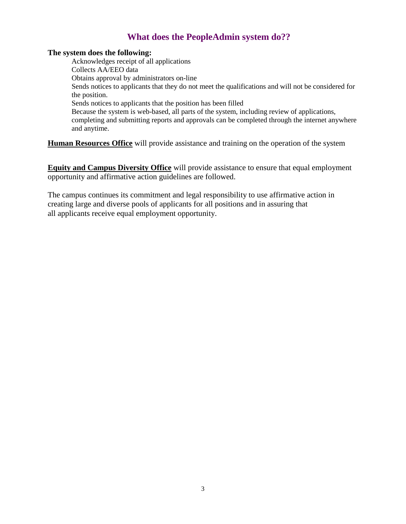## **What does the PeopleAdmin system do??**

#### **The system does the following:**

Acknowledges receipt of all applications Collects AA/EEO data Obtains approval by administrators on-line Sends notices to applicants that they do not meet the qualifications and will not be considered for the position. Sends notices to applicants that the position has been filled Because the system is web-based, all parts of the system, including review of applications, completing and submitting reports and approvals can be completed through the internet anywhere and anytime.

**Human Resources Office** will provide assistance and training on the operation of the system

**Equity and Campus Diversity Office** will provide assistance to ensure that equal employment opportunity and affirmative action guidelines are followed.

The campus continues its commitment and legal responsibility to use affirmative action in creating large and diverse pools of applicants for all positions and in assuring that all applicants receive equal employment opportunity.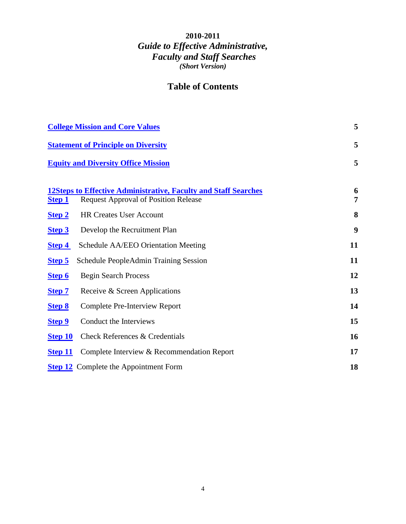## **2010-2011**  *Guide to Effective Administrative, Faculty and Staff Searches (Short Version)*

## **Table of Contents**

| <b>College Mission and Core Values</b> |                                                                                                                       | 5      |
|----------------------------------------|-----------------------------------------------------------------------------------------------------------------------|--------|
|                                        | <b>Statement of Principle on Diversity</b>                                                                            | 5      |
|                                        | <b>Equity and Diversity Office Mission</b>                                                                            |        |
| <b>Step 1</b>                          | <b>12Steps to Effective Administrative, Faculty and Staff Searches</b><br><b>Request Approval of Position Release</b> | 6<br>7 |
| Step 2                                 | <b>HR Creates User Account</b>                                                                                        | 8      |
| Step 3                                 | Develop the Recruitment Plan                                                                                          | 9      |
| <b>Step 4</b>                          | Schedule AA/EEO Orientation Meeting                                                                                   | 11     |
| Step 5                                 | <b>Schedule PeopleAdmin Training Session</b>                                                                          | 11     |
| Step 6                                 | <b>Begin Search Process</b>                                                                                           | 12     |
| <b>Step 7</b>                          | Receive & Screen Applications                                                                                         | 13     |
| <b>Step 8</b>                          | <b>Complete Pre-Interview Report</b>                                                                                  | 14     |
| Step 9                                 | Conduct the Interviews                                                                                                | 15     |
| Step 10                                | Check References & Credentials                                                                                        | 16     |
| <b>Step 11</b>                         | Complete Interview & Recommendation Report                                                                            | 17     |
|                                        | <b>Step 12</b> Complete the Appointment Form                                                                          | 18     |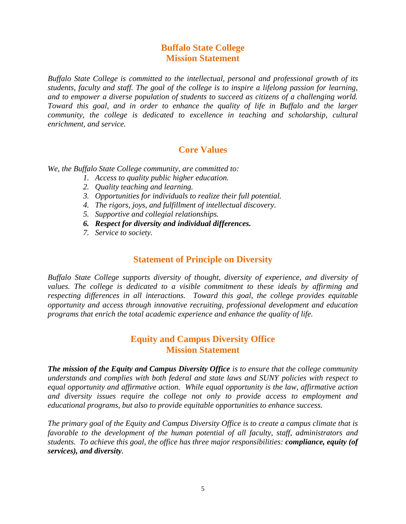## **Buffalo State College Mission Statement**

<span id="page-4-0"></span>*Buffalo State College is committed to the intellectual, personal and professional growth of its students, faculty and staff. The goal of the college is to inspire a lifelong passion for learning, and to empower a diverse population of students to succeed as citizens of a challenging world. Toward this goal, and in order to enhance the quality of life in Buffalo and the larger community, the college is dedicated to excellence in teaching and scholarship, cultural enrichment, and service.* 

## **Core Values**

*We, the Buffalo State College community, are committed to:*

- *1. Access to quality public higher education.*
- *2. Quality teaching and learning.*
- *3. Opportunities for individuals to realize their full potential.*
- *4. The rigors, joys, and fulfillment of intellectual discovery.*
- *5. Supportive and collegial relationships.*
- *6. Respect for diversity and individual differences.*
- *7. Service to society.*

## **Statement of Principle on Diversity**

<span id="page-4-1"></span>*Buffalo State College supports diversity of thought, diversity of experience, and diversity of values. The college is dedicated to a visible commitment to these ideals by affirming and respecting differences in all interactions. Toward this goal, the college provides equitable opportunity and access through innovative recruiting, professional development and education programs that enrich the total academic experience and enhance the quality of life.* 

## **Equity and Campus Diversity Office Mission Statement**

<span id="page-4-2"></span>*The mission of the Equity and Campus Diversity Office is to ensure that the college community understands and complies with both federal and state laws and SUNY policies with respect to equal opportunity and affirmative action. While equal opportunity is the law, affirmative action and diversity issues require the college not only to provide access to employment and educational programs, but also to provide equitable opportunities to enhance success.* 

*The primary goal of the Equity and Campus Diversity Office is to create a campus climate that is favorable to the development of the human potential of all faculty, staff, administrators and students. To achieve this goal, the office has three major responsibilities: compliance, equity (of services), and diversity.*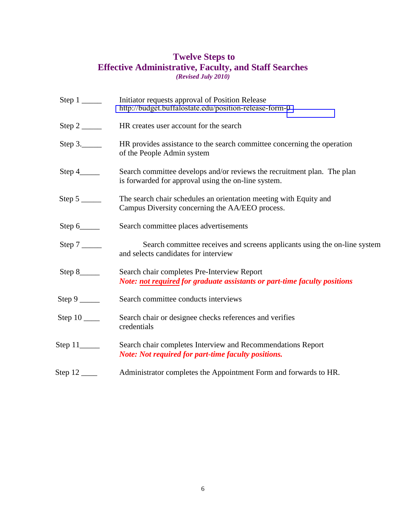## **Twelve Steps to Effective Administrative, Faculty, and Staff Searches**  *(Revised July 2010)*

<span id="page-5-0"></span>

|                            | Initiator requests approval of Position Release<br>http://budget.buffalostate.edu/position-release-form-0                      |
|----------------------------|--------------------------------------------------------------------------------------------------------------------------------|
| Step $2 \_\_$              | HR creates user account for the search                                                                                         |
| Step $3.$                  | HR provides assistance to the search committee concerning the operation<br>of the People Admin system                          |
| Step $4$ <sub>_____</sub>  | Search committee develops and/or reviews the recruitment plan. The plan<br>is forwarded for approval using the on-line system. |
|                            | The search chair schedules an orientation meeting with Equity and<br>Campus Diversity concerning the AA/EEO process.           |
| Step $6$ <sub>_____</sub>  | Search committee places advertisements                                                                                         |
|                            | Search committee receives and screens applicants using the on-line system<br>and selects candidates for interview              |
| Step $8$ <sub>_____</sub>  | Search chair completes Pre-Interview Report<br>Note: not required for graduate assistants or part-time faculty positions       |
|                            | Search committee conducts interviews                                                                                           |
|                            | Search chair or designee checks references and verifies<br>credentials                                                         |
| Step $11$ <sub>_____</sub> | Search chair completes Interview and Recommendations Report<br><b>Note: Not required for part-time faculty positions.</b>      |
|                            | Administrator completes the Appointment Form and forwards to HR.                                                               |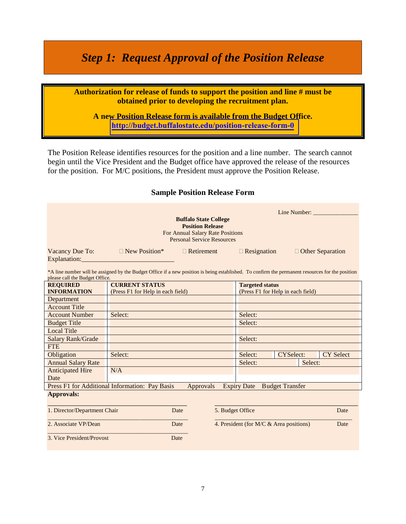# <span id="page-6-0"></span>*Step 1: Request Approval of the Position Release*

**Authorization for release of funds to support the position and line # must be obtained prior to developing the recruitment plan.** 

**A new Position Release form is available from the Budget Office. <http://budget.buffalostate.edu/position-release-form-0>**

The Position Release identifies resources for the position and a line number. The search cannot begin until the Vice President and the Budget office have approved the release of the resources for the position. For M/C positions, the President must approve the Position Release.

#### **Sample Position Release Form**

| Line Number:<br><b>Buffalo State College</b><br><b>Position Release</b><br>For Annual Salary Rate Positions<br><b>Personal Service Resources</b> |                                                                                                                                                  |           |         |                                                             |                        |         |                    |
|--------------------------------------------------------------------------------------------------------------------------------------------------|--------------------------------------------------------------------------------------------------------------------------------------------------|-----------|---------|-------------------------------------------------------------|------------------------|---------|--------------------|
|                                                                                                                                                  | Vacancy Due To: $\Box$ New Position* $\Box$ Retirement                                                                                           |           |         | $\Box$ Resignation                                          |                        |         | □ Other Separation |
| please call the Budget Office.                                                                                                                   | *A line number will be assigned by the Budget Office if a new position is being established. To confirm the permanent resources for the position |           |         |                                                             |                        |         |                    |
| <b>REQUIRED</b><br><b>INFORMATION</b>                                                                                                            | <b>CURRENT STATUS</b><br>(Press F1 for Help in each field)                                                                                       |           |         | <b>Targeted status</b><br>(Press F1 for Help in each field) |                        |         |                    |
| Department                                                                                                                                       |                                                                                                                                                  |           |         |                                                             |                        |         |                    |
| <b>Account Title</b>                                                                                                                             |                                                                                                                                                  |           |         |                                                             |                        |         |                    |
| <b>Account Number</b>                                                                                                                            | Select:                                                                                                                                          |           | Select: |                                                             |                        |         |                    |
| <b>Budget Title</b>                                                                                                                              |                                                                                                                                                  |           | Select: |                                                             |                        |         |                    |
| <b>Local Title</b>                                                                                                                               |                                                                                                                                                  |           |         |                                                             |                        |         |                    |
| Salary Rank/Grade                                                                                                                                |                                                                                                                                                  |           |         | Select:                                                     |                        |         |                    |
| <b>FTE</b>                                                                                                                                       |                                                                                                                                                  |           |         |                                                             |                        |         |                    |
| Obligation                                                                                                                                       | Select:                                                                                                                                          |           |         | Select:                                                     | <b>CYSelect:</b>       |         | <b>CY Select</b>   |
| <b>Annual Salary Rate</b>                                                                                                                        |                                                                                                                                                  |           |         | Select:                                                     |                        | Select: |                    |
| <b>Anticipated Hire</b><br>Date                                                                                                                  | N/A                                                                                                                                              |           |         |                                                             |                        |         |                    |
|                                                                                                                                                  | Press F1 for Additional Information: Pay Basis                                                                                                   | Approvals |         | <b>Expiry Date</b>                                          | <b>Budget Transfer</b> |         |                    |
| <b>Approvals:</b>                                                                                                                                |                                                                                                                                                  |           |         |                                                             |                        |         |                    |
| 1. Director/Department Chair<br>5. Budget Office<br>Date<br>Date                                                                                 |                                                                                                                                                  |           |         |                                                             |                        |         |                    |
| 2. Associate VP/Dean                                                                                                                             |                                                                                                                                                  | Date      |         | 4. President (for M/C & Area positions)                     |                        |         | Date               |
|                                                                                                                                                  | 3. Vice President/Provost<br>Date                                                                                                                |           |         |                                                             |                        |         |                    |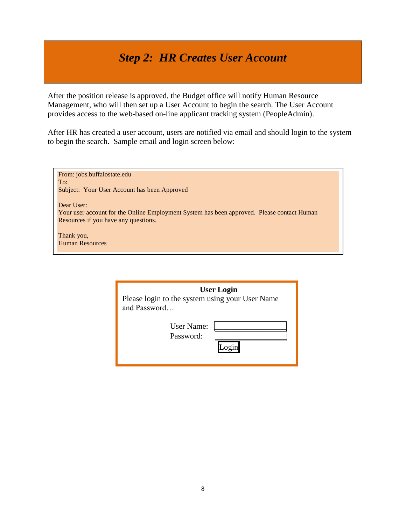# *Step 2: HR Creates User Account*

<span id="page-7-0"></span>After the position release is approved, the Budget office will notify Human Resource Management, who will then set up a User Account to begin the search. The User Account provides access to the web-based on-line applicant tracking system (PeopleAdmin).

After HR has created a user account, users are notified via email and should login to the system to begin the search. Sample email and login screen below:

| From: jobs.buffalostate.edu<br>To:<br>Subject: Your User Account has been Approved                                                               |  |
|--------------------------------------------------------------------------------------------------------------------------------------------------|--|
| Dear User:<br>Your user account for the Online Employment System has been approved. Please contact Human<br>Resources if you have any questions. |  |
| Thank you,<br><b>Human Resources</b>                                                                                                             |  |

| <b>User Login</b><br>Please login to the system using your User Name<br>and Password |  |  |
|--------------------------------------------------------------------------------------|--|--|
| User Name:<br>Password:                                                              |  |  |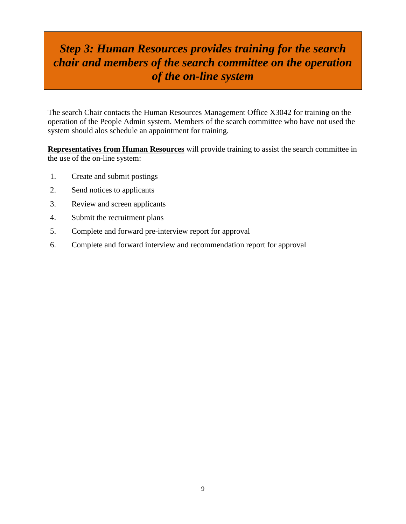# *Step 3: Human Resources provides training for the search chair and members of the search committee on the operation of the on-line system*

The search Chair contacts the Human Resources Management Office X3042 for training on the operation of the People Admin system. Members of the search committee who have not used the system should alos schedule an appointment for training.

**Representatives from Human Resources** will provide training to assist the search committee in the use of the on-line system:

- 1. Create and submit postings
- 2. Send notices to applicants
- 3. Review and screen applicants
- 4. Submit the recruitment plans
- 5. Complete and forward pre-interview report for approval
- 6. Complete and forward interview and recommendation report for approval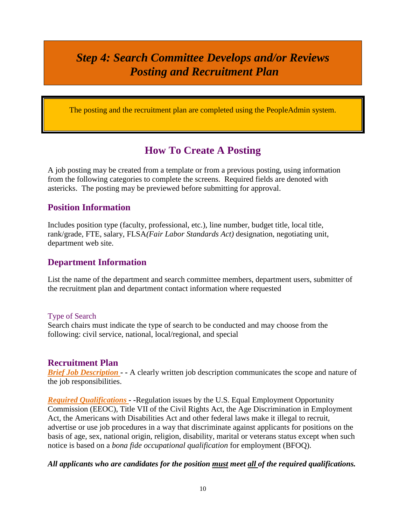# <span id="page-9-0"></span>*Step 4: Search Committee Develops and/or Reviews Posting and Recruitment Plan*

The posting and the recruitment plan are completed using the PeopleAdmin system.

## **How To Create A Posting**

A job posting may be created from a template or from a previous posting, using information from the following categories to complete the screens. Required fields are denoted with astericks. The posting may be previewed before submitting for approval.

## **Position Information**

Includes position type (faculty, professional, etc.), line number, budget title, local title, rank/grade, FTE, salary, FLSA*(Fair Labor Standards Act)* designation, negotiating unit, department web site.

## **Department Information**

List the name of the department and search committee members, department users, submitter of the recruitment plan and department contact information where requested

#### Type of Search

Search chairs must indicate the type of search to be conducted and may choose from the following: civil service, national, local/regional, and special

### **Recruitment Plan**

*Brief Job Description* - A clearly written job description communicates the scope and nature of the job responsibilities.

*Required Qualifications - -*Regulation issues by the U.S. Equal Employment Opportunity Commission (EEOC), Title VII of the Civil Rights Act, the Age Discrimination in Employment Act, the Americans with Disabilities Act and other federal laws make it illegal to recruit, advertise or use job procedures in a way that discriminate against applicants for positions on the basis of age, sex, national origin, religion, disability, marital or veterans status except when such notice is based on a *bona fide occupational qualification* for employment (BFOQ).

#### *All applicants who are candidates for the position must meet all of the required qualifications.*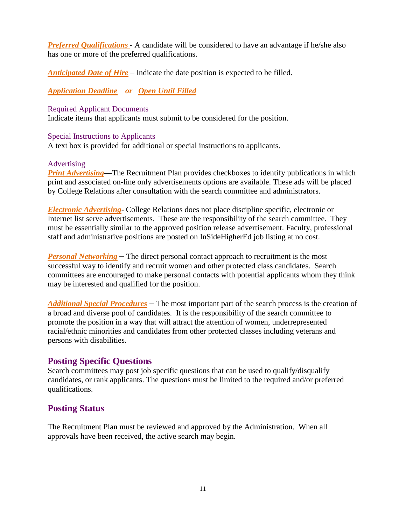*Preferred Qualifications* - A candidate will be considered to have an advantage if he/she also has one or more of the preferred qualifications.

*Anticipated Date of Hire* – Indicate the date position is expected to be filled.

*Application Deadline or Open Until Filled*

#### Required Applicant Documents

Indicate items that applicants must submit to be considered for the position.

### Special Instructions to Applicants

A text box is provided for additional or special instructions to applicants.

### Advertising

*Print Advertising—*The Recruitment Plan provides checkboxes to identify publications in which print and associated on-line only advertisements options are available. These ads will be placed by College Relations after consultation with the search committee and administrators.

*Electronic Advertising*- College Relations does not place discipline specific, electronic or Internet list serve advertisements. These are the responsibility of the search committee. They must be essentially similar to the approved position release advertisement. Faculty, professional staff and administrative positions are posted on InSideHigherEd job listing at no cost.

*Personal Networking* – The direct personal contact approach to recruitment is the most successful way to identify and recruit women and other protected class candidates. Search committees are encouraged to make personal contacts with potential applicants whom they think may be interested and qualified for the position.

*Additional Special Procedures* – The most important part of the search process is the creation of a broad and diverse pool of candidates. It is the responsibility of the search committee to promote the position in a way that will attract the attention of women, underrepresented racial/ethnic minorities and candidates from other protected classes including veterans and persons with disabilities.

## **Posting Specific Questions**

Search committees may post job specific questions that can be used to qualify/disqualify candidates, or rank applicants. The questions must be limited to the required and/or preferred qualifications.

## **Posting Status**

The Recruitment Plan must be reviewed and approved by the Administration. When all approvals have been received, the active search may begin.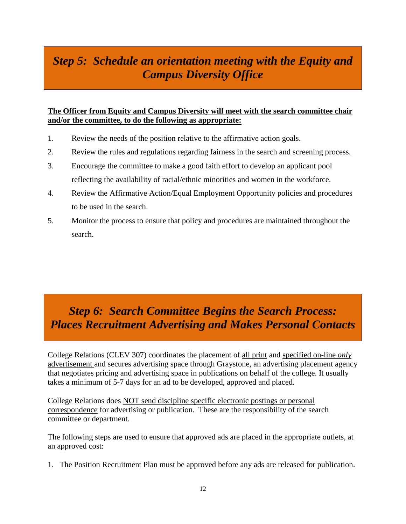# <span id="page-11-0"></span>*Step 5: Schedule an orientation meeting with the Equity and Campus Diversity Office*

### **The Officer from Equity and Campus Diversity will meet with the search committee chair and/or the committee, to do the following as appropriate:**

- 1. Review the needs of the position relative to the affirmative action goals.
- 2. Review the rules and regulations regarding fairness in the search and screening process.
- 3. Encourage the committee to make a good faith effort to develop an applicant pool reflecting the availability of racial/ethnic minorities and women in the workforce.
- 4. Review the Affirmative Action/Equal Employment Opportunity policies and procedures to be used in the search.
- 5. Monitor the process to ensure that policy and procedures are maintained throughout the search.

# <span id="page-11-1"></span>*Step 6: Search Committee Begins the Search Process: Places Recruitment Advertising and Makes Personal Contacts*

College Relations (CLEV 307) coordinates the placement of all print and specified on-line *only*  advertisement and secures advertising space through Graystone, an advertising placement agency that negotiates pricing and advertising space in publications on behalf of the college. It usually takes a minimum of 5-7 days for an ad to be developed, approved and placed.

College Relations does NOT send discipline specific electronic postings or personal correspondence for advertising or publication. These are the responsibility of the search committee or department.

The following steps are used to ensure that approved ads are placed in the appropriate outlets, at an approved cost:

1. The Position Recruitment Plan must be approved before any ads are released for publication.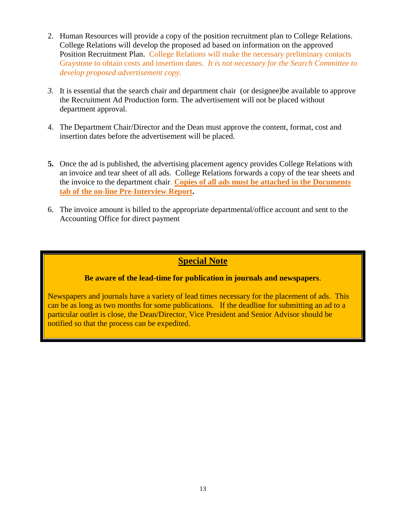- 2. Human Resources will provide a copy of the position recruitment plan to College Relations. College Relations will develop the proposed ad based on information on the approved Position Recruitment Plan. College Relations will make the necessary preliminary contacts Graystone to obtain costs and insertion dates. *It is not necessary for the Search Committee to develop proposed advertisement copy.*
- *3.* It is essential that the search chair and department chair (or designee)be available to approve the Recruitment Ad Production form. The advertisement will not be placed without department approval.
- 4. The Department Chair/Director and the Dean must approve the content, format, cost and insertion dates before the advertisement will be placed.
- **5.** Once the ad is published, the advertising placement agency provides College Relations with an invoice and tear sheet of all ads. College Relations forwards a copy of the tear sheets and the invoice to the department chair. **Copies of all ads must be attached in the Documents tab of the on-line Pre-Interview Report.**
- 6. The invoice amount is billed to the appropriate departmental/office account and sent to the Accounting Office for direct payment

## **Special Note**

### **Be aware of the lead-time for publication in journals and newspapers**.

Newspapers and journals have a variety of lead times necessary for the placement of ads. This can be as long as two months for some publications. If the deadline for submitting an ad to a particular outlet is close, the Dean/Director, Vice President and Senior Advisor should be notified so that the process can be expedited.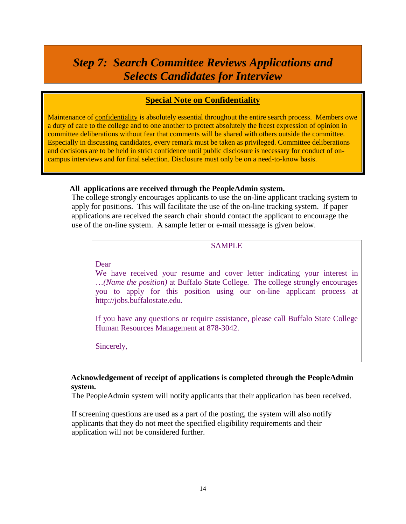# <span id="page-13-0"></span>*Step 7: Search Committee Reviews Applications and Selects Candidates for Interview*

## **Special Note on Confidentiality**

Maintenance of confidentiality is absolutely essential throughout the entire search process. Members owe a duty of care to the college and to one another to protect absolutely the freest expression of opinion in committee deliberations without fear that comments will be shared with others outside the committee. Especially in discussing candidates, every remark must be taken as privileged. Committee deliberations and decisions are to be held in strict confidence until public disclosure is necessary for conduct of oncampus interviews and for final selection. Disclosure must only be on a need-to-know basis.

#### **All applications are received through the PeopleAdmin system.**

The college strongly encourages applicants to use the on-line applicant tracking system to apply for positions. This will facilitate the use of the on-line tracking system. If paper applications are received the search chair should contact the applicant to encourage the use of the on-line system. A sample letter or e-mail message is given below.

### SAMPLE

#### Dear

We have received your resume and cover letter indicating your interest in …*(Name the position)* at Buffalo State College. The college strongly encourages you to apply for this position using our on-line applicant process at [http://jobs.buffalostate.edu.](http://jobs.buffalostate.edu/)

If you have any questions or require assistance, please call Buffalo State College Human Resources Management at 878-3042.

Sincerely,

### **Acknowledgement of receipt of applications is completed through the PeopleAdmin system.**

The PeopleAdmin system will notify applicants that their application has been received.

If screening questions are used as a part of the posting, the system will also notify applicants that they do not meet the specified eligibility requirements and their application will not be considered further.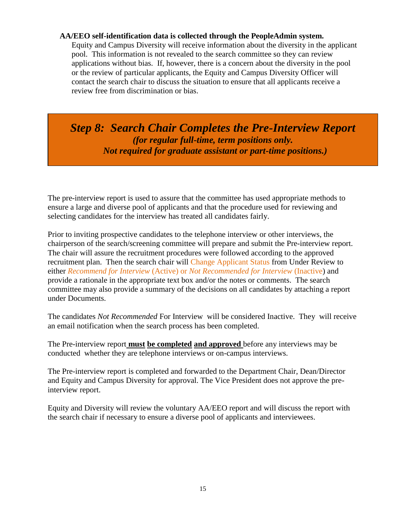#### **AA/EEO self-identification data is collected through the PeopleAdmin system.**

Equity and Campus Diversity will receive information about the diversity in the applicant pool. This information is not revealed to the search committee so they can review applications without bias. If, however, there is a concern about the diversity in the pool or the review of particular applicants, the Equity and Campus Diversity Officer will contact the search chair to discuss the situation to ensure that all applicants receive a review free from discrimination or bias.

<span id="page-14-0"></span>*Step 8: Search Chair Completes the Pre-Interview Report (for regular full-time, term positions only. Not required for graduate assistant or part-time positions.)*

The pre-interview report is used to assure that the committee has used appropriate methods to ensure a large and diverse pool of applicants and that the procedure used for reviewing and selecting candidates for the interview has treated all candidates fairly.

Prior to inviting prospective candidates to the telephone interview or other interviews, the chairperson of the search/screening committee will prepare and submit the Pre-interview report. The chair will assure the recruitment procedures were followed according to the approved recruitment plan. Then the search chair will Change Applicant Status from Under Review to either *Recommend for Interview* (Active) or *Not Recommended for Interview* (Inactive) and provide a rationale in the appropriate text box and/or the notes or comments. The search committee may also provide a summary of the decisions on all candidates by attaching a report under Documents.

The candidates *Not Recommended* For Interview will be considered Inactive. They will receive an email notification when the search process has been completed.

The Pre-interview report **must be completed and approved** before any interviews may be conducted whether they are telephone interviews or on-campus interviews.

The Pre-interview report is completed and forwarded to the Department Chair, Dean/Director and Equity and Campus Diversity for approval. The Vice President does not approve the preinterview report.

Equity and Diversity will review the voluntary AA/EEO report and will discuss the report with the search chair if necessary to ensure a diverse pool of applicants and interviewees.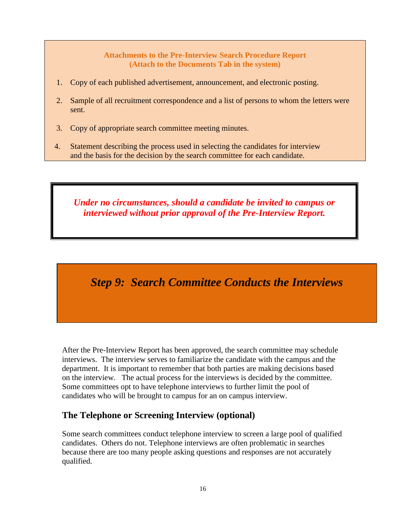#### **Attachments to the Pre-Interview Search Procedure Report (Attach to the Documents Tab in the system)**

- 1. Copy of each published advertisement, announcement, and electronic posting.
- 2. Sample of all recruitment correspondence and a list of persons to whom the letters were sent.
- 3. Copy of appropriate search committee meeting minutes.
- 4. Statement describing the process used in selecting the candidates for interview and the basis for the decision by the search committee for each candidate.

*Under no circumstances, should a candidate be invited to campus or interviewed without prior approval of the Pre-Interview Report.*

# <span id="page-15-0"></span>*Step 9: Search Committee Conducts the Interviews*

After the Pre-Interview Report has been approved, the search committee may schedule interviews. The interview serves to familiarize the candidate with the campus and the department. It is important to remember that both parties are making decisions based on the interview. The actual process for the interviews is decided by the committee. Some committees opt to have telephone interviews to further limit the pool of candidates who will be brought to campus for an on campus interview.

## **The Telephone or Screening Interview (optional)**

Some search committees conduct telephone interview to screen a large pool of qualified candidates. Others do not. Telephone interviews are often problematic in searches because there are too many people asking questions and responses are not accurately qualified.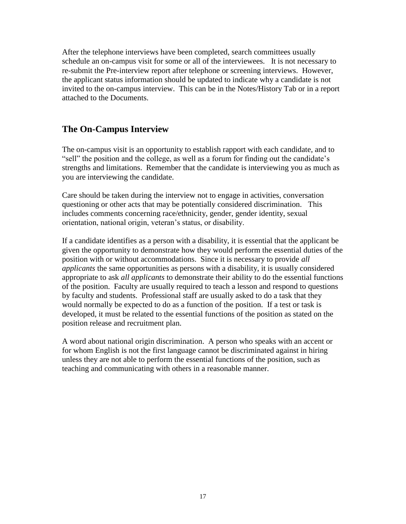After the telephone interviews have been completed, search committees usually schedule an on-campus visit for some or all of the interviewees. It is not necessary to re-submit the Pre-interview report after telephone or screening interviews. However, the applicant status information should be updated to indicate why a candidate is not invited to the on-campus interview. This can be in the Notes/History Tab or in a report attached to the Documents.

## **The On-Campus Interview**

The on-campus visit is an opportunity to establish rapport with each candidate, and to "sell" the position and the college, as well as a forum for finding out the candidate's strengths and limitations. Remember that the candidate is interviewing you as much as you are interviewing the candidate.

Care should be taken during the interview not to engage in activities, conversation questioning or other acts that may be potentially considered discrimination. This includes comments concerning race/ethnicity, gender, gender identity, sexual orientation, national origin, veteran's status, or disability.

If a candidate identifies as a person with a disability, it is essential that the applicant be given the opportunity to demonstrate how they would perform the essential duties of the position with or without accommodations. Since it is necessary to provide *all applicants* the same opportunities as persons with a disability, it is usually considered appropriate to ask *all applicants* to demonstrate their ability to do the essential functions of the position. Faculty are usually required to teach a lesson and respond to questions by faculty and students. Professional staff are usually asked to do a task that they would normally be expected to do as a function of the position. If a test or task is developed, it must be related to the essential functions of the position as stated on the position release and recruitment plan.

A word about national origin discrimination. A person who speaks with an accent or for whom English is not the first language cannot be discriminated against in hiring unless they are not able to perform the essential functions of the position, such as teaching and communicating with others in a reasonable manner.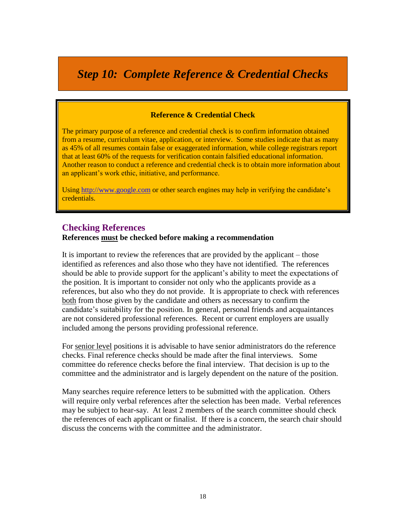<span id="page-17-0"></span>*Step 10: Complete Reference & Credential Checks*

#### **Reference & Credential Check**

The primary purpose of a reference and credential check is to confirm information obtained from a resume, curriculum vitae, application, or interview. Some studies indicate that as many as 45% of all resumes contain false or exaggerated information, while college registrars report that at least 60% of the requests for verification contain falsified educational information. Another reason to conduct a reference and credential check is to obtain more information about an applicant's work ethic, initiative, and performance.

Usin[g http://www.google.com](http://www.google.com/) or other search engines may help in verifying the candidate's credentials.

#### **Checking References**

#### **References must be checked before making a recommendation**

It is important to review the references that are provided by the applicant – those identified as references and also those who they have not identified. The references should be able to provide support for the applicant's ability to meet the expectations of the position. It is important to consider not only who the applicants provide as a references, but also who they do not provide. It is appropriate to check with references both from those given by the candidate and others as necessary to confirm the candidate's suitability for the position. In general, personal friends and acquaintances are not considered professional references. Recent or current employers are usually included among the persons providing professional reference.

For senior level positions it is advisable to have senior administrators do the reference checks. Final reference checks should be made after the final interviews. Some committee do reference checks before the final interview. That decision is up to the committee and the administrator and is largely dependent on the nature of the position.

Many searches require reference letters to be submitted with the application. Others will require only verbal references after the selection has been made. Verbal references may be subject to hear-say. At least 2 members of the search committee should check the references of each applicant or finalist. If there is a concern, the search chair should discuss the concerns with the committee and the administrator.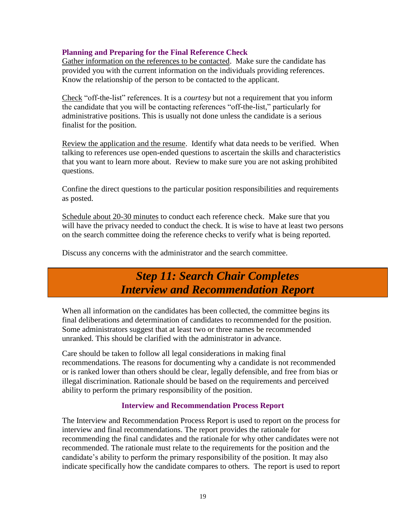### **Planning and Preparing for the Final Reference Check**

Gather information on the references to be contacted. Make sure the candidate has provided you with the current information on the individuals providing references. Know the relationship of the person to be contacted to the applicant.

Check "off-the-list" references. It is a *courtesy* but not a requirement that you inform the candidate that you will be contacting references "off-the-list," particularly for administrative positions. This is usually not done unless the candidate is a serious finalist for the position.

Review the application and the resume. Identify what data needs to be verified. When talking to references use open-ended questions to ascertain the skills and characteristics that you want to learn more about. Review to make sure you are not asking prohibited questions.

Confine the direct questions to the particular position responsibilities and requirements as posted.

Schedule about 20-30 minutes to conduct each reference check. Make sure that you will have the privacy needed to conduct the check. It is wise to have at least two persons on the search committee doing the reference checks to verify what is being reported.

<span id="page-18-0"></span>Discuss any concerns with the administrator and the search committee.

# *Step 11: Search Chair Completes Interview and Recommendation Report*

When all information on the candidates has been collected, the committee begins its final deliberations and determination of candidates to recommended for the position. Some administrators suggest that at least two or three names be recommended unranked. This should be clarified with the administrator in advance.

Care should be taken to follow all legal considerations in making final recommendations. The reasons for documenting why a candidate is not recommended or is ranked lower than others should be clear, legally defensible, and free from bias or illegal discrimination. Rationale should be based on the requirements and perceived ability to perform the primary responsibility of the position.

#### **Interview and Recommendation Process Report**

The Interview and Recommendation Process Report is used to report on the process for interview and final recommendations. The report provides the rationale for recommending the final candidates and the rationale for why other candidates were not recommended. The rationale must relate to the requirements for the position and the candidate's ability to perform the primary responsibility of the position. It may also indicate specifically how the candidate compares to others. The report is used to report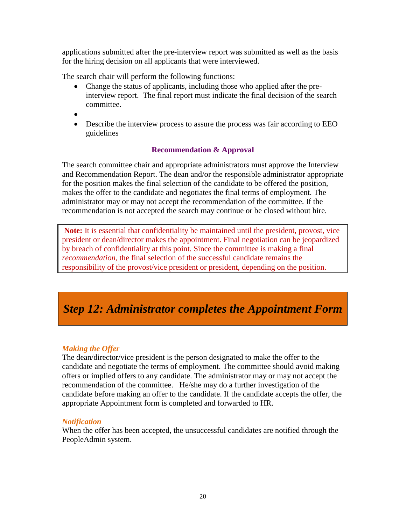applications submitted after the pre-interview report was submitted as well as the basis for the hiring decision on all applicants that were interviewed.

The search chair will perform the following functions:

- Change the status of applicants, including those who applied after the preinterview report. The final report must indicate the final decision of the search committee.
- $\bullet$
- Describe the interview process to assure the process was fair according to EEO guidelines

## **Recommendation & Approval**

The search committee chair and appropriate administrators must approve the Interview and Recommendation Report. The dean and/or the responsible administrator appropriate for the position makes the final selection of the candidate to be offered the position, makes the offer to the candidate and negotiates the final terms of employment. The administrator may or may not accept the recommendation of the committee. If the recommendation is not accepted the search may continue or be closed without hire.

**Note:** It is essential that confidentiality be maintained until the president, provost, vice president or dean/director makes the appointment. Final negotiation can be jeopardized by breach of confidentiality at this point. Since the committee is making a final *recommendation*, the final selection of the successful candidate remains the responsibility of the provost/vice president or president, depending on the position.

# <span id="page-19-0"></span>*Step 12: Administrator completes the Appointment Form*

### *Making the Offer*

The dean/director/vice president is the person designated to make the offer to the candidate and negotiate the terms of employment. The committee should avoid making offers or implied offers to any candidate. The administrator may or may not accept the recommendation of the committee. He/she may do a further investigation of the candidate before making an offer to the candidate. If the candidate accepts the offer, the appropriate Appointment form is completed and forwarded to HR.

### *Notification*

When the offer has been accepted, the unsuccessful candidates are notified through the PeopleAdmin system.